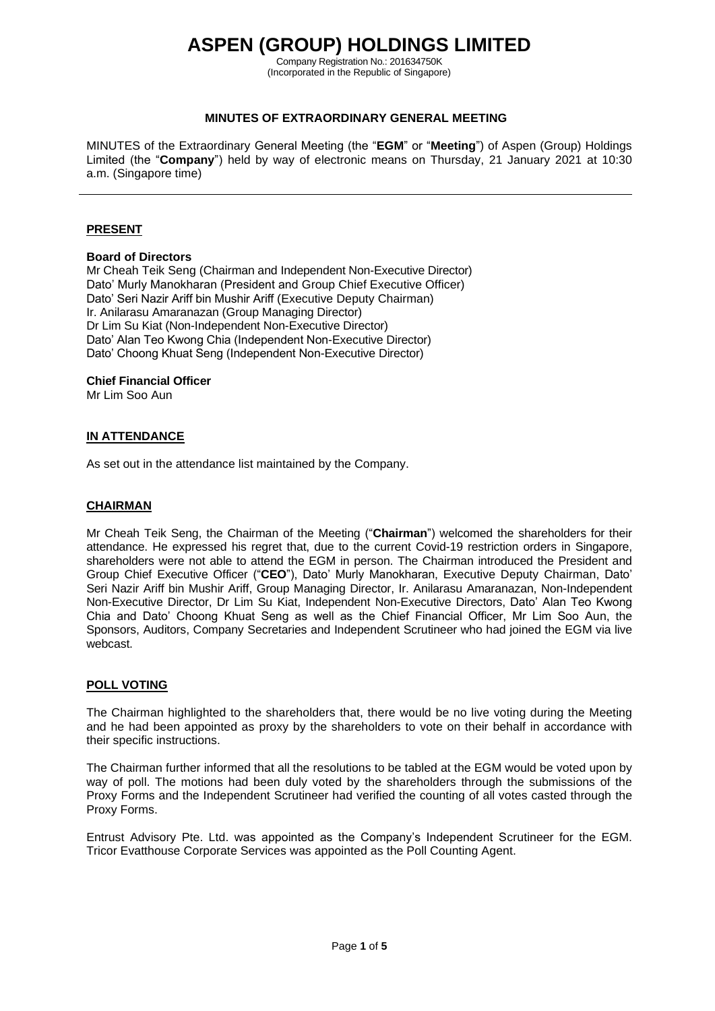# **ASPEN (GROUP) HOLDINGS LIMITED**

Company Registration No.: 201634750K (Incorporated in the Republic of Singapore)

## **MINUTES OF EXTRAORDINARY GENERAL MEETING**

MINUTES of the Extraordinary General Meeting (the "**EGM**" or "**Meeting**") of Aspen (Group) Holdings Limited (the "**Company**") held by way of electronic means on Thursday, 21 January 2021 at 10:30 a.m. (Singapore time)

## **PRESENT**

#### **Board of Directors**

Mr Cheah Teik Seng (Chairman and Independent Non-Executive Director) Dato' Murly Manokharan (President and Group Chief Executive Officer) Dato' Seri Nazir Ariff bin Mushir Ariff (Executive Deputy Chairman) Ir. Anilarasu Amaranazan (Group Managing Director) Dr Lim Su Kiat (Non-Independent Non-Executive Director) Dato' Alan Teo Kwong Chia (Independent Non-Executive Director) Dato' Choong Khuat Seng (Independent Non-Executive Director)

#### **Chief Financial Officer**

Mr Lim Soo Aun

## **IN ATTENDANCE**

As set out in the attendance list maintained by the Company.

#### **CHAIRMAN**

Mr Cheah Teik Seng, the Chairman of the Meeting ("**Chairman**") welcomed the shareholders for their attendance. He expressed his regret that, due to the current Covid-19 restriction orders in Singapore, shareholders were not able to attend the EGM in person. The Chairman introduced the President and Group Chief Executive Officer ("**CEO**"), Dato' Murly Manokharan, Executive Deputy Chairman, Dato' Seri Nazir Ariff bin Mushir Ariff, Group Managing Director, Ir. Anilarasu Amaranazan, Non-Independent Non-Executive Director, Dr Lim Su Kiat, Independent Non-Executive Directors, Dato' Alan Teo Kwong Chia and Dato' Choong Khuat Seng as well as the Chief Financial Officer, Mr Lim Soo Aun, the Sponsors, Auditors, Company Secretaries and Independent Scrutineer who had joined the EGM via live webcast.

## **POLL VOTING**

The Chairman highlighted to the shareholders that, there would be no live voting during the Meeting and he had been appointed as proxy by the shareholders to vote on their behalf in accordance with their specific instructions.

The Chairman further informed that all the resolutions to be tabled at the EGM would be voted upon by way of poll. The motions had been duly voted by the shareholders through the submissions of the Proxy Forms and the Independent Scrutineer had verified the counting of all votes casted through the Proxy Forms.

Entrust Advisory Pte. Ltd. was appointed as the Company's Independent Scrutineer for the EGM. Tricor Evatthouse Corporate Services was appointed as the Poll Counting Agent.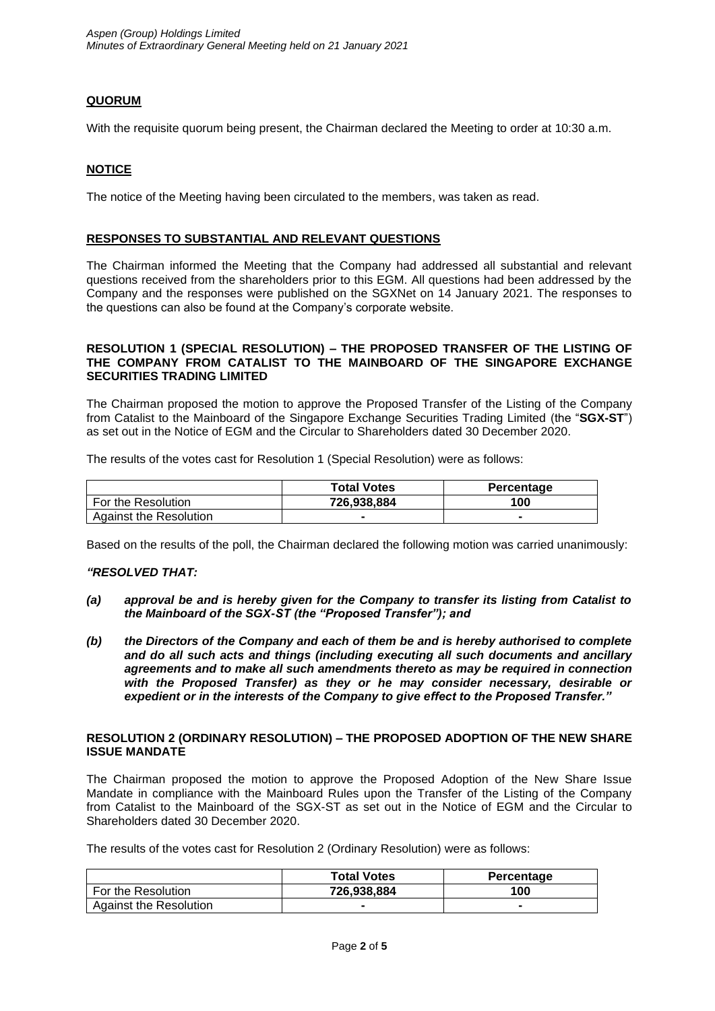# **QUORUM**

With the requisite quorum being present, the Chairman declared the Meeting to order at 10:30 a.m.

# **NOTICE**

The notice of the Meeting having been circulated to the members, was taken as read.

## **RESPONSES TO SUBSTANTIAL AND RELEVANT QUESTIONS**

The Chairman informed the Meeting that the Company had addressed all substantial and relevant questions received from the shareholders prior to this EGM. All questions had been addressed by the Company and the responses were published on the SGXNet on 14 January 2021. The responses to the questions can also be found at the Company's corporate website.

#### **RESOLUTION 1 (SPECIAL RESOLUTION) – THE PROPOSED TRANSFER OF THE LISTING OF THE COMPANY FROM CATALIST TO THE MAINBOARD OF THE SINGAPORE EXCHANGE SECURITIES TRADING LIMITED**

The Chairman proposed the motion to approve the Proposed Transfer of the Listing of the Company from Catalist to the Mainboard of the Singapore Exchange Securities Trading Limited (the "**SGX-ST**") as set out in the Notice of EGM and the Circular to Shareholders dated 30 December 2020.

The results of the votes cast for Resolution 1 (Special Resolution) were as follows:

|                        | <b>Total Votes</b> | Percentage |
|------------------------|--------------------|------------|
| ⊩ For the Resolution_  | 726.938.884        | 100        |
| Against the Resolution |                    |            |

Based on the results of the poll, the Chairman declared the following motion was carried unanimously:

# *"RESOLVED THAT:*

- *(a) approval be and is hereby given for the Company to transfer its listing from Catalist to the Mainboard of the SGX-ST (the "Proposed Transfer"); and*
- *(b) the Directors of the Company and each of them be and is hereby authorised to complete and do all such acts and things (including executing all such documents and ancillary agreements and to make all such amendments thereto as may be required in connection with the Proposed Transfer) as they or he may consider necessary, desirable or expedient or in the interests of the Company to give effect to the Proposed Transfer."*

#### **RESOLUTION 2 (ORDINARY RESOLUTION) – THE PROPOSED ADOPTION OF THE NEW SHARE ISSUE MANDATE**

The Chairman proposed the motion to approve the Proposed Adoption of the New Share Issue Mandate in compliance with the Mainboard Rules upon the Transfer of the Listing of the Company from Catalist to the Mainboard of the SGX-ST as set out in the Notice of EGM and the Circular to Shareholders dated 30 December 2020.

The results of the votes cast for Resolution 2 (Ordinary Resolution) were as follows:

|                        | <b>Total Votes</b> | <b>Percentage</b> |
|------------------------|--------------------|-------------------|
| For the Resolution     | 726.938.884        | 100               |
| Against the Resolution |                    |                   |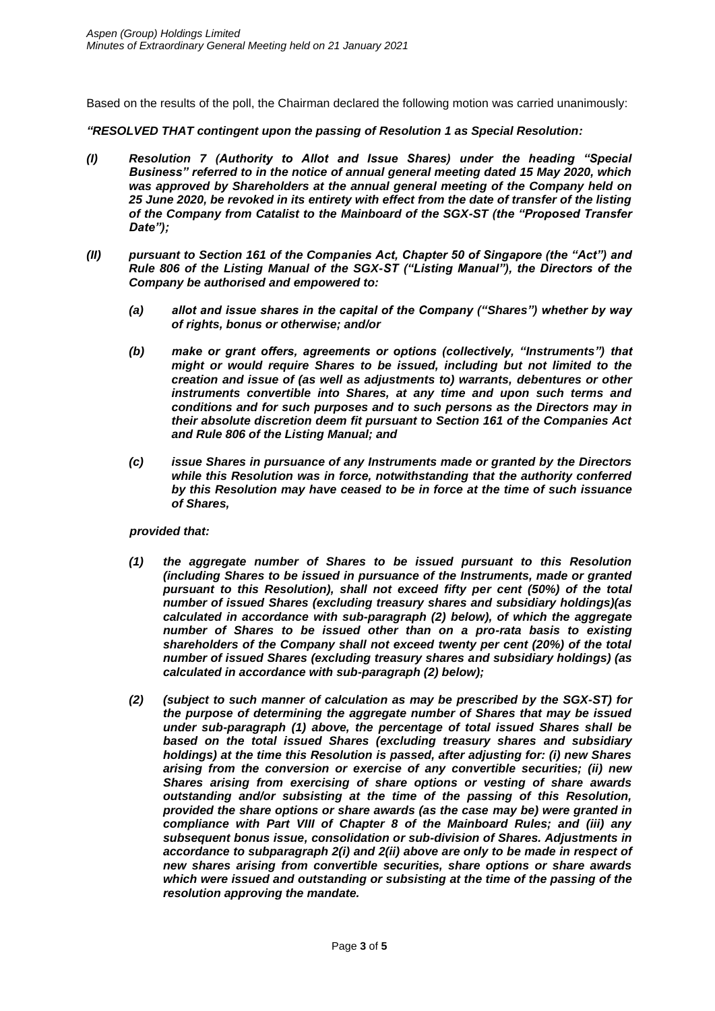Based on the results of the poll, the Chairman declared the following motion was carried unanimously:

*"RESOLVED THAT contingent upon the passing of Resolution 1 as Special Resolution:* 

- *(I) Resolution 7 (Authority to Allot and Issue Shares) under the heading "Special Business" referred to in the notice of annual general meeting dated 15 May 2020, which was approved by Shareholders at the annual general meeting of the Company held on 25 June 2020, be revoked in its entirety with effect from the date of transfer of the listing of the Company from Catalist to the Mainboard of the SGX-ST (the "Proposed Transfer Date");*
- *(II) pursuant to Section 161 of the Companies Act, Chapter 50 of Singapore (the "Act") and Rule 806 of the Listing Manual of the SGX-ST ("Listing Manual"), the Directors of the Company be authorised and empowered to:*
	- *(a) allot and issue shares in the capital of the Company ("Shares") whether by way of rights, bonus or otherwise; and/or*
	- *(b) make or grant offers, agreements or options (collectively, "Instruments") that might or would require Shares to be issued, including but not limited to the creation and issue of (as well as adjustments to) warrants, debentures or other instruments convertible into Shares, at any time and upon such terms and conditions and for such purposes and to such persons as the Directors may in their absolute discretion deem fit pursuant to Section 161 of the Companies Act and Rule 806 of the Listing Manual; and*
	- *(c) issue Shares in pursuance of any Instruments made or granted by the Directors while this Resolution was in force, notwithstanding that the authority conferred by this Resolution may have ceased to be in force at the time of such issuance of Shares,*

## *provided that:*

- *(1) the aggregate number of Shares to be issued pursuant to this Resolution (including Shares to be issued in pursuance of the Instruments, made or granted pursuant to this Resolution), shall not exceed fifty per cent (50%) of the total number of issued Shares (excluding treasury shares and subsidiary holdings)(as calculated in accordance with sub-paragraph (2) below), of which the aggregate number of Shares to be issued other than on a pro-rata basis to existing shareholders of the Company shall not exceed twenty per cent (20%) of the total number of issued Shares (excluding treasury shares and subsidiary holdings) (as calculated in accordance with sub-paragraph (2) below);*
- *(2) (subject to such manner of calculation as may be prescribed by the SGX-ST) for the purpose of determining the aggregate number of Shares that may be issued under sub-paragraph (1) above, the percentage of total issued Shares shall be based on the total issued Shares (excluding treasury shares and subsidiary holdings) at the time this Resolution is passed, after adjusting for: (i) new Shares arising from the conversion or exercise of any convertible securities; (ii) new Shares arising from exercising of share options or vesting of share awards outstanding and/or subsisting at the time of the passing of this Resolution, provided the share options or share awards (as the case may be) were granted in compliance with Part VIII of Chapter 8 of the Mainboard Rules; and (iii) any subsequent bonus issue, consolidation or sub-division of Shares. Adjustments in accordance to subparagraph 2(i) and 2(ii) above are only to be made in respect of new shares arising from convertible securities, share options or share awards which were issued and outstanding or subsisting at the time of the passing of the resolution approving the mandate.*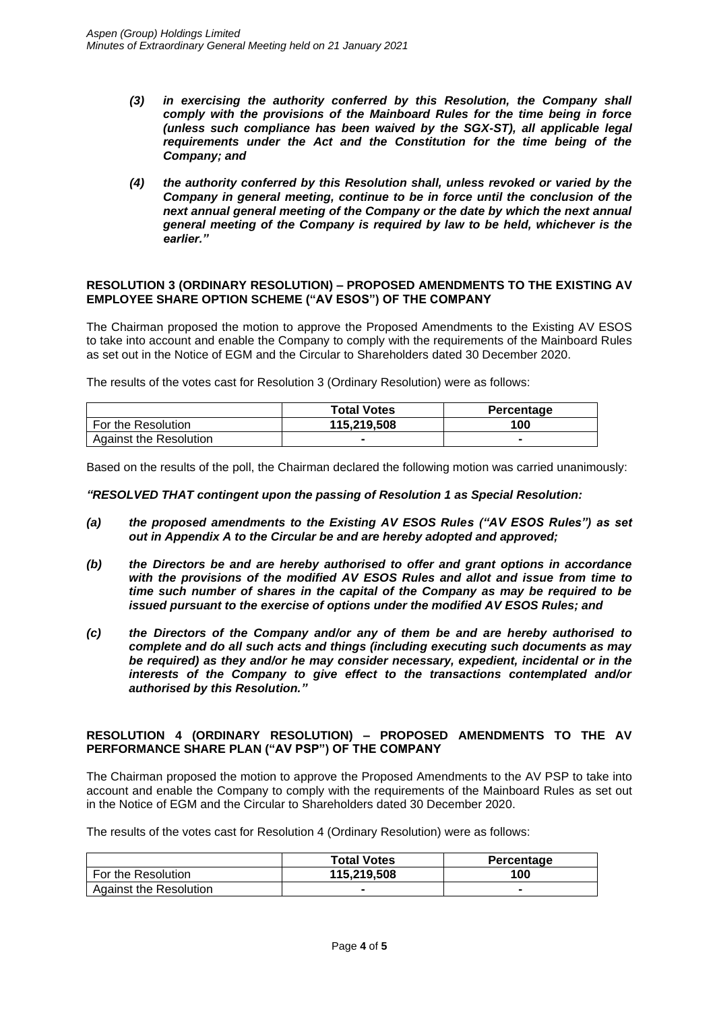- *(3) in exercising the authority conferred by this Resolution, the Company shall comply with the provisions of the Mainboard Rules for the time being in force (unless such compliance has been waived by the SGX-ST), all applicable legal requirements under the Act and the Constitution for the time being of the Company; and*
- *(4) the authority conferred by this Resolution shall, unless revoked or varied by the Company in general meeting, continue to be in force until the conclusion of the next annual general meeting of the Company or the date by which the next annual general meeting of the Company is required by law to be held, whichever is the earlier."*

#### **RESOLUTION 3 (ORDINARY RESOLUTION) – PROPOSED AMENDMENTS TO THE EXISTING AV EMPLOYEE SHARE OPTION SCHEME ("AV ESOS") OF THE COMPANY**

The Chairman proposed the motion to approve the Proposed Amendments to the Existing AV ESOS to take into account and enable the Company to comply with the requirements of the Mainboard Rules as set out in the Notice of EGM and the Circular to Shareholders dated 30 December 2020.

The results of the votes cast for Resolution 3 (Ordinary Resolution) were as follows:

|                        | <b>Total Votes</b> | <b>Percentage</b> |
|------------------------|--------------------|-------------------|
| For the Resolution     | 115.219.508        | 100               |
| Against the Resolution |                    |                   |

Based on the results of the poll, the Chairman declared the following motion was carried unanimously:

## *"RESOLVED THAT contingent upon the passing of Resolution 1 as Special Resolution:*

- *(a) the proposed amendments to the Existing AV ESOS Rules ("AV ESOS Rules") as set out in Appendix A to the Circular be and are hereby adopted and approved;*
- *(b) the Directors be and are hereby authorised to offer and grant options in accordance with the provisions of the modified AV ESOS Rules and allot and issue from time to time such number of shares in the capital of the Company as may be required to be issued pursuant to the exercise of options under the modified AV ESOS Rules; and*
- *(c) the Directors of the Company and/or any of them be and are hereby authorised to complete and do all such acts and things (including executing such documents as may be required) as they and/or he may consider necessary, expedient, incidental or in the interests of the Company to give effect to the transactions contemplated and/or authorised by this Resolution."*

## **RESOLUTION 4 (ORDINARY RESOLUTION) – PROPOSED AMENDMENTS TO THE AV PERFORMANCE SHARE PLAN ("AV PSP") OF THE COMPANY**

The Chairman proposed the motion to approve the Proposed Amendments to the AV PSP to take into account and enable the Company to comply with the requirements of the Mainboard Rules as set out in the Notice of EGM and the Circular to Shareholders dated 30 December 2020.

The results of the votes cast for Resolution 4 (Ordinary Resolution) were as follows:

|                        | <b>Total Votes</b> | Percentage |
|------------------------|--------------------|------------|
| For the Resolution     | 115.219.508        | 100        |
| Against the Resolution |                    |            |